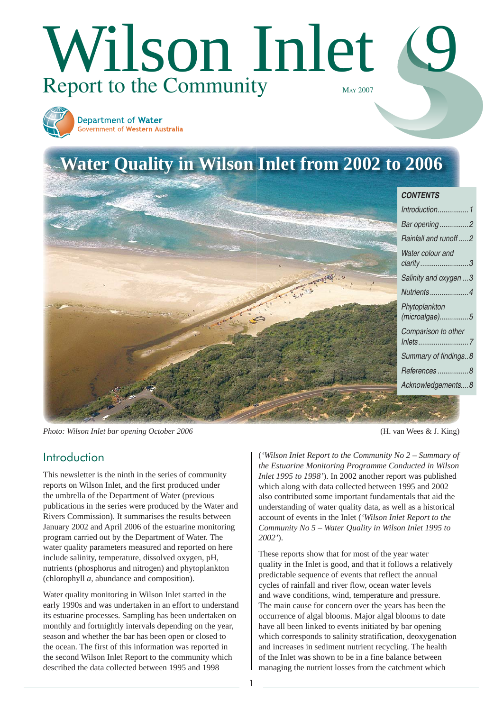

*Water colour and [clarity .........................3](#page-1-0) Salinity and oxygen ...3 [Nutrients ....................4](#page-3-0) Phytoplankton [\(microalgae\) ...............5](#page-4-0) Comparison to other [Inlets ..........................7](#page-6-0)* Summary of findings..8 *[References ................8](#page-7-0) Acknowledgements....8*

*Photo: Wilson Inlet bar opening October 2006* (H. van Wees & J. King)

## Introduction

This newsletter is the ninth in the series of community reports on Wilson Inlet, and the first produced under the umbrella of the Department of Water (previous publications in the series were produced by the Water and Rivers Commission). It summarises the results between January 2002 and April 2006 of the estuarine monitoring program carried out by the Department of Water. The water quality parameters measured and reported on here include salinity, temperature, dissolved oxygen, pH, nutrients (phosphorus and nitrogen) and phytoplankton (chlorophyll *a*, abundance and composition).

Water quality monitoring in Wilson Inlet started in the early 1990s and was undertaken in an effort to understand its estuarine processes. Sampling has been undertaken on monthly and fortnightly intervals depending on the year, season and whether the bar has been open or closed to the ocean. The first of this information was reported in the second Wilson Inlet Report to the community which described the data collected between 1995 and 1998

(*'Wilson Inlet Report to the Community No 2 – Summary of the Estuarine Monitoring Programme Conducted in Wilson Inlet 1995 to 1998'*). In 2002 another report was published which along with data collected between 1995 and 2002 also contributed some important fundamentals that aid the understanding of water quality data, as well as a historical account of events in the Inlet (*'Wilson Inlet Report to the Community No 5 – Water Quality in Wilson Inlet 1995 to 2002'*).

These reports show that for most of the year water quality in the Inlet is good, and that it follows a relatively predictable sequence of events that reflect the annual cycles of rainfall and river flow, ocean water levels and wave conditions, wind, temperature and pressure. The main cause for concern over the years has been the occurrence of algal blooms. Major algal blooms to date have all been linked to events initiated by bar opening which corresponds to salinity stratification, deoxygenation and increases in sediment nutrient recycling. The health of the Inlet was shown to be in a fine balance between managing the nutrient losses from the catchment which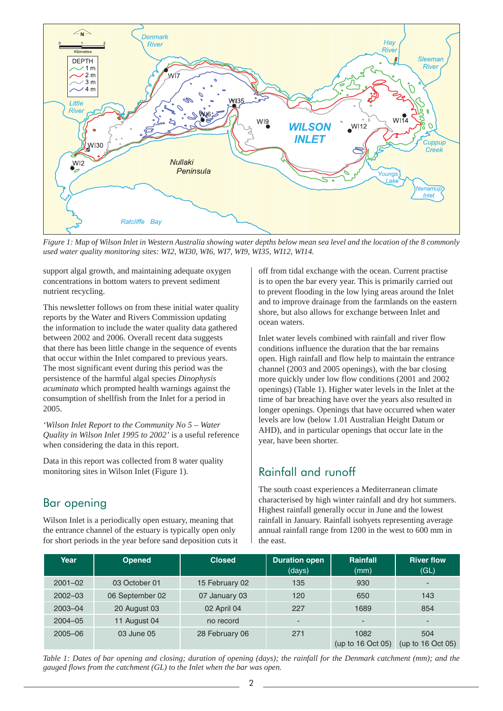<span id="page-1-0"></span>

*Figure 1: Map of Wilson Inlet in Western Australia showing water depths below mean sea level and the location of the 8 commonly used water quality monitoring sites: WI2, WI30, WI6, WI7, WI9, WI35, WI12, WI14.*

support algal growth, and maintaining adequate oxygen concentrations in bottom waters to prevent sediment nutrient recycling.

This newsletter follows on from these initial water quality reports by the Water and Rivers Commission updating the information to include the water quality data gathered between 2002 and 2006. Overall recent data suggests that there has been little change in the sequence of events that occur within the Inlet compared to previous years. The most significant event during this period was the persistence of the harmful algal species *Dinophysis acuminata* which prompted health warnings against the consumption of shellfish from the Inlet for a period in 2005.

*'Wilson Inlet Report to the Community No 5 – Water Quality in Wilson Inlet 1995 to 2002'* is a useful reference when considering the data in this report.

Data in this report was collected from 8 water quality monitoring sites in Wilson Inlet (Figure 1).

## Bar opening

Wilson Inlet is a periodically open estuary, meaning that the entrance channel of the estuary is typically open only for short periods in the year before sand deposition cuts it off from tidal exchange with the ocean. Current practise is to open the bar every year. This is primarily carried out to prevent flooding in the low lying areas around the Inlet and to improve drainage from the farmlands on the eastern shore, but also allows for exchange between Inlet and ocean waters.

Inlet water levels combined with rainfall and river flow conditions influence the duration that the bar remains open. High rainfall and flow help to maintain the entrance channel (2003 and 2005 openings), with the bar closing more quickly under low flow conditions (2001 and 2002 openings) (Table 1). Higher water levels in the Inlet at the time of bar breaching have over the years also resulted in longer openings. Openings that have occurred when water levels are low (below 1.01 Australian Height Datum or AHD), and in particular openings that occur late in the year, have been shorter.

## Rainfall and runoff

The south coast experiences a Mediterranean climate characterised by high winter rainfall and dry hot summers. Highest rainfall generally occur in June and the lowest rainfall in January. Rainfall isohyets representing average annual rainfall range from 1200 in the west to 600 mm in the east.

| Year        | <b>Opened</b>   | <b>Closed</b>  | <b>Duration open</b><br>(days) | <b>Rainfall</b><br>(mm)     | <b>River flow</b><br>(GL)  |
|-------------|-----------------|----------------|--------------------------------|-----------------------------|----------------------------|
| $2001 - 02$ | 03 October 01   | 15 February 02 | 135                            | 930                         | $\overline{\phantom{a}}$   |
| $2002 - 03$ | 06 September 02 | 07 January 03  | 120                            | 650                         | 143                        |
| $2003 - 04$ | 20 August 03    | 02 April 04    | 227                            | 1689                        | 854                        |
| $2004 - 05$ | 11 August 04    | no record      |                                | $\overline{\phantom{0}}$    | -                          |
| $2005 - 06$ | 03 June 05      | 28 February 06 | 271                            | 1082<br>(up to $16$ Oct 05) | 504<br>(up to $16$ Oct 05) |

*Table 1: Dates of bar opening and closing; duration of opening (days); the rainfall for the Denmark catchment (mm); and the gauged flows from the catchment (GL) to the Inlet when the bar was open.*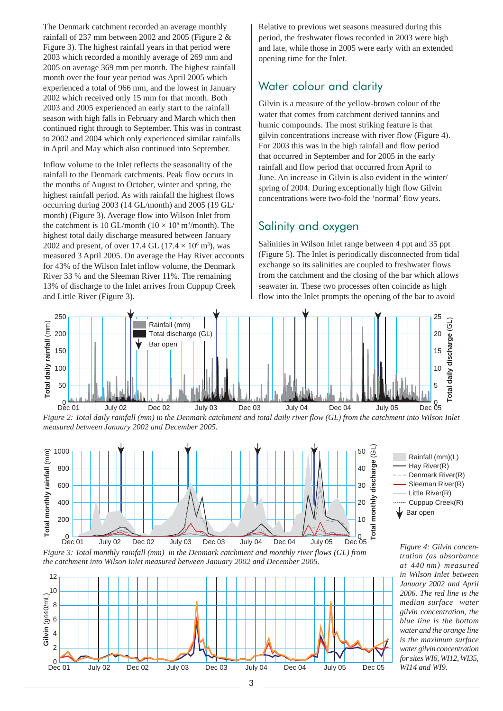The Denmark catchment recorded an average monthly rainfall of 237 mm between 2002 and 2005 (Figure 2 & Figure 3). The highest rainfall years in that period were 2003 which recorded a monthly average of 269 mm and 2005 on average 369 mm per month. The highest rainfall month over the four year period was April 2005 which experienced a total of 966 mm, and the lowest in January 2002 which received only 15 mm for that month. Both 2003 and 2005 experienced an early start to the rainfall season with high falls in February and March which then continued right through to September. This was in contrast to 2002 and 2004 which only experienced similar rainfalls in April and May which also continued into September.

Inflow volume to the Inlet reflects the seasonality of the rainfall to the Denmark catchments. Peak flow occurs in the months of August to October, winter and spring, the highest rainfall period. As with rainfall the highest flows occurring during 2003 (14 GL/month) and 2005 (19 GL/ month) (Figure 3). Average flow into Wilson Inlet from the catchment is 10 GL/month ( $10 \times 10^6$  m<sup>3</sup>/month). The highest total daily discharge measured between January 2002 and present, of over 17.4 GL  $(17.4 \times 10^6 \text{ m}^3)$ , was measured 3 April 2005. On average the Hay River accounts for 43% of the Wilson Inlet inflow volume, the Denmark River 33 % and the Sleeman River 11%. The remaining 13% of discharge to the Inlet arrives from Cuppup Creek and Little River (Figure 3).

Relative to previous wet seasons measured during this period, the freshwater flows recorded in 2003 were high and late, while those in 2005 were early with an extended opening time for the Inlet.

#### Water colour and clarity

Gilvin is a measure of the yellow-brown colour of the water that comes from catchment derived tannins and humic compounds. The most striking feature is that gilvin concentrations increase with river flow (Figure 4). For 2003 this was in the high rainfall and flow period that occurred in September and for 2005 in the early rainfall and flow period that occurred from April to June. An increase in Gilvin is also evident in the winter/ spring of 2004. During exceptionally high flow Gilvin concentrations were two-fold the 'normal' flow years.

#### Salinity and oxygen

Salinities in Wilson Inlet range between 4 ppt and 35 ppt (Figure 5). The Inlet is periodically disconnected from tidal exchange so its salinities are coupled to freshwater flows from the catchment and the closing of the bar which allows seawater in. These two processes often coincide as high flow into the Inlet prompts the opening of the bar to avoid



*Figure 2: Total daily rainfall (mm) in the Denmark catchment and total daily river flow (GL) from the catchment into Wilson Inlet measured between January 2002 and December 2005.*



*Figure 3: Total monthly rainfall (mm) in the Denmark catchment and monthly river flows (GL) from the catchment into Wilson Inlet measured between January 2002 and December 2005.*





*Figure 4: Gilvin concentration (as absorbance at 440 nm) measured in Wilson Inlet between January 2002 and April 2006. The red line is the median surface water gilvin concentration, the blue line is the bottom water and the orange line is the maximum surface water gilvin concentration for sites WI6, WI12, WI35, WI14 and WI9.*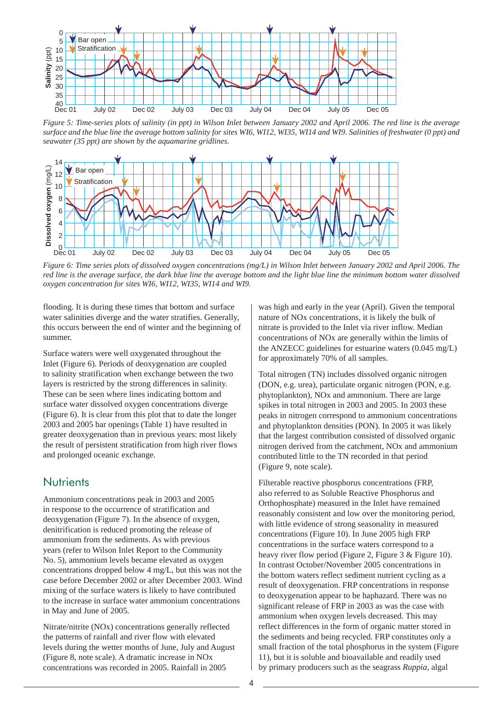<span id="page-3-0"></span>

*Figure 5: Time-series plots of salinity (in ppt) in Wilson Inlet between January 2002 and April 2006. The red line is the average surface and the blue line the average bottom salinity for sites WI6, WI12, WI35, WI14 and WI9. Salinities of freshwater (0 ppt) and seawater (35 ppt) are shown by the aquamarine gridlines.*



*Figure 6: Time series plots of dissolved oxygen concentrations (mg/L) in Wilson Inlet between January 2002 and April 2006. The red line is the average surface, the dark blue line the average bottom and the light blue line the minimum bottom water dissolved oxygen concentration for sites WI6, WI12, WI35, WI14 and WI9.*

flooding. It is during these times that bottom and surface water salinities diverge and the water stratifies. Generally, this occurs between the end of winter and the beginning of summer.

Surface waters were well oxygenated throughout the Inlet (Figure 6). Periods of deoxygenation are coupled to salinity stratification when exchange between the two layers is restricted by the strong differences in salinity. These can be seen where lines indicating bottom and surface water dissolved oxygen concentrations diverge (Figure 6). It is clear from this plot that to date the longer 2003 and 2005 bar openings (Table 1) have resulted in greater deoxygenation than in previous years: most likely the result of persistent stratification from high river flows and prolonged oceanic exchange.

#### **Nutrients**

Ammonium concentrations peak in 2003 and 2005 in response to the occurrence of stratification and deoxygenation (Figure 7). In the absence of oxygen, denitrification is reduced promoting the release of ammonium from the sediments. As with previous years (refer to Wilson Inlet Report to the Community No. 5), ammonium levels became elevated as oxygen concentrations dropped below 4 mg/L, but this was not the case before December 2002 or after December 2003. Wind mixing of the surface waters is likely to have contributed to the increase in surface water ammonium concentrations in May and June of 2005.

Nitrate/nitrite (NOx) concentrations generally reflected the patterns of rainfall and river flow with elevated levels during the wetter months of June, July and August (Figure 8, note scale). A dramatic increase in NOx concentrations was recorded in 2005. Rainfall in 2005

was high and early in the year (April). Given the temporal nature of NOx concentrations, it is likely the bulk of nitrate is provided to the Inlet via river inflow. Median concentrations of NOx are generally within the limits of the ANZECC guidelines for estuarine waters (0.045 mg/L) for approximately 70% of all samples.

Total nitrogen (TN) includes dissolved organic nitrogen (DON, e.g. urea), particulate organic nitrogen (PON, e.g. phytoplankton), NOx and ammonium. There are large spikes in total nitrogen in 2003 and 2005. In 2003 these peaks in nitrogen correspond to ammonium concentrations and phytoplankton densities (PON). In 2005 it was likely that the largest contribution consisted of dissolved organic nitrogen derived from the catchment, NOx and ammonium contributed little to the TN recorded in that period (Figure 9, note scale).

Filterable reactive phosphorus concentrations (FRP, also referred to as Soluble Reactive Phosphorus and Orthophosphate) measured in the Inlet have remained reasonably consistent and low over the monitoring period, with little evidence of strong seasonality in measured concentrations (Figure 10). In June 2005 high FRP concentrations in the surface waters correspond to a heavy river flow period (Figure 2, Figure 3 & Figure 10). In contrast October/November 2005 concentrations in the bottom waters reflect sediment nutrient cycling as a result of deoxygenation. FRP concentrations in response to deoxygenation appear to be haphazard. There was no significant release of FRP in 2003 as was the case with ammonium when oxygen levels decreased. This may reflect differences in the form of organic matter stored in the sediments and being recycled. FRP constitutes only a small fraction of the total phosphorus in the system (Figure 11), but it is soluble and bioavailable and readily used by primary producers such as the seagrass *Ruppia*, algal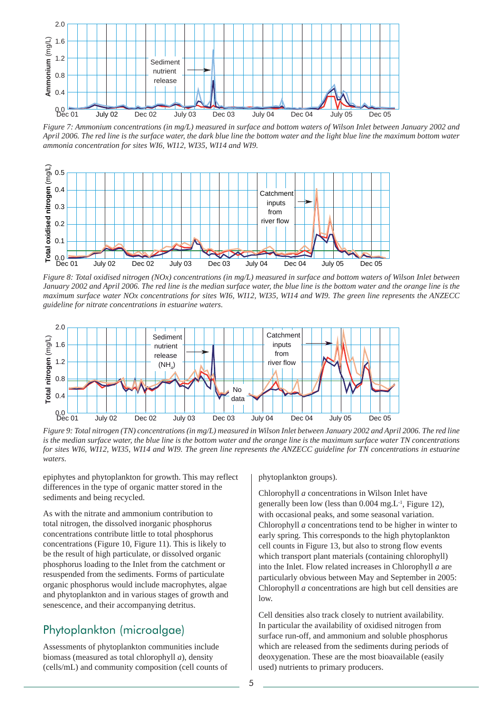<span id="page-4-0"></span>

*Figure 7: Ammonium concentrations (in mg/L) measured in surface and bottom waters of Wilson Inlet between January 2002 and April 2006. The red line is the surface water, the dark blue line the bottom water and the light blue line the maximum bottom water ammonia concentration for sites WI6, WI12, WI35, WI14 and WI9.*



*Figure 8: Total oxidised nitrogen (NOx) concentrations (in mg/L) measured in surface and bottom waters of Wilson Inlet between January 2002 and April 2006. The red line is the median surface water, the blue line is the bottom water and the orange line is the maximum surface water NOx concentrations for sites WI6, WI12, WI35, WI14 and WI9. The green line represents the ANZECC guideline for nitrate concentrations in estuarine waters.*



*Figure 9: Total nitrogen (TN) concentrations (in mg/L) measured in Wilson Inlet between January 2002 and April 2006. The red line is the median surface water, the blue line is the bottom water and the orange line is the maximum surface water TN concentrations for sites WI6, WI12, WI35, WI14 and WI9. The green line represents the ANZECC guideline for TN concentrations in estuarine waters.*

epiphytes and phytoplankton for growth. This may reflect differences in the type of organic matter stored in the sediments and being recycled.

As with the nitrate and ammonium contribution to total nitrogen, the dissolved inorganic phosphorus concentrations contribute little to total phosphorus concentrations (Figure 10, Figure 11). This is likely to be the result of high particulate, or dissolved organic phosphorus loading to the Inlet from the catchment or resuspended from the sediments. Forms of particulate organic phosphorus would include macrophytes, algae and phytoplankton and in various stages of growth and senescence, and their accompanying detritus.

#### Phytoplankton (microalgae)

Assessments of phytoplankton communities include biomass (measured as total chlorophyll *a*), density (cells/mL) and community composition (cell counts of phytoplankton groups).

Chlorophyll *a* concentrations in Wilson Inlet have generally been low (less than  $0.004$  mg. L<sup>-1</sup>, Figure 12), with occasional peaks, and some seasonal variation. Chlorophyll *a* concentrations tend to be higher in winter to early spring. This corresponds to the high phytoplankton cell counts in Figure 13, but also to strong flow events which transport plant materials (containing chlorophyll) into the Inlet. Flow related increases in Chlorophyll *a* are particularly obvious between May and September in 2005: Chlorophyll *a* concentrations are high but cell densities are low.

Cell densities also track closely to nutrient availability. In particular the availability of oxidised nitrogen from surface run-off, and ammonium and soluble phosphorus which are released from the sediments during periods of deoxygenation. These are the most bioavailable (easily used) nutrients to primary producers.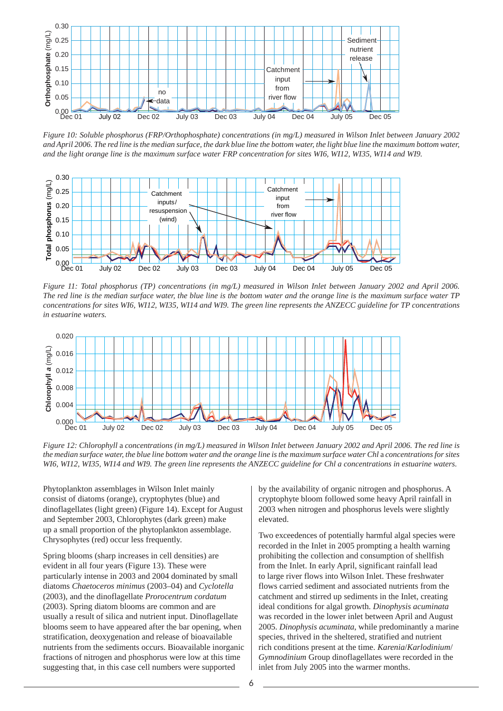

*Figure 10: Soluble phosphorus (FRP/Orthophosphate) concentrations (in mg/L) measured in Wilson Inlet between January 2002*  and April 2006. The red line is the median surface, the dark blue line the bottom water, the light blue line the maximum bottom water, *and the light orange line is the maximum surface water FRP concentration for sites WI6, WI12, WI35, WI14 and WI9.*



*Figure 11: Total phosphorus (TP) concentrations (in mg/L) measured in Wilson Inlet between January 2002 and April 2006. The red line is the median surface water, the blue line is the bottom water and the orange line is the maximum surface water TP concentrations for sites WI6, WI12, WI35, WI14 and WI9. The green line represents the ANZECC guideline for TP concentrations in estuarine waters.*



*Figure 12: Chlorophyll* a *concentrations (in mg/L) measured in Wilson Inlet between January 2002 and April 2006. The red line is the median surface water, the blue line bottom water and the orange line is the maximum surface water Chl* a *concentrations for sites WI6, WI12, WI35, WI14 and WI9. The green line represents the ANZECC guideline for Chl a concentrations in estuarine waters.*

Phytoplankton assemblages in Wilson Inlet mainly consist of diatoms (orange), cryptophytes (blue) and dinoflagellates (light green) (Figure 14). Except for August and September 2003, Chlorophytes (dark green) make up a small proportion of the phytoplankton assemblage. Chrysophytes (red) occur less frequently.

Spring blooms (sharp increases in cell densities) are evident in all four years (Figure 13). These were particularly intense in 2003 and 2004 dominated by small diatoms *Chaetoceros minimus* (2003–04) and *Cyclotella* (2003), and the dinoflagellate *Prorocentrum cordatum* (2003). Spring diatom blooms are common and are usually a result of silica and nutrient input. Dinoflagellate blooms seem to have appeared after the bar opening, when stratification, deoxygenation and release of bioavailable nutrients from the sediments occurs. Bioavailable inorganic fractions of nitrogen and phosphorus were low at this time suggesting that, in this case cell numbers were supported

by the availability of organic nitrogen and phosphorus. A cryptophyte bloom followed some heavy April rainfall in 2003 when nitrogen and phosphorus levels were slightly elevated.

Two exceedences of potentially harmful algal species were recorded in the Inlet in 2005 prompting a health warning prohibiting the collection and consumption of shellfish from the Inlet. In early April, significant rainfall lead to large river flows into Wilson Inlet. These freshwater flows carried sediment and associated nutrients from the catchment and stirred up sediments in the Inlet, creating ideal conditions for algal growth. *Dinophysis acuminata* was recorded in the lower inlet between April and August 2005. *Dinophysis acuminata*, while predominantly a marine species, thrived in the sheltered, stratified and nutrient rich conditions present at the time. *Karenia*/*Karlodinium*/ *Gymnodinium* Group dinoflagellates were recorded in the inlet from July 2005 into the warmer months.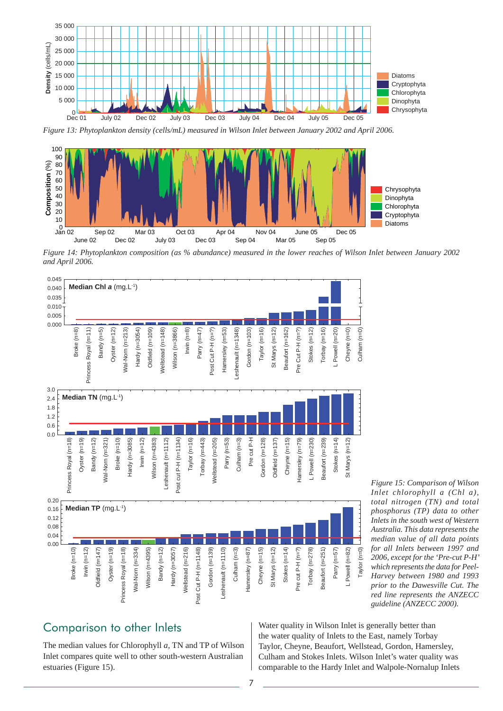<span id="page-6-0"></span>

*Figure 13: Phytoplankton density (cells/mL) measured in Wilson Inlet between January 2002 and April 2006.*



*Figure 14: Phytoplankton composition (as % abundance) measured in the lower reaches of Wilson Inlet between January 2002 and April 2006.*



Comparison to other Inlets

The median values for Chlorophyll *a*, TN and TP of Wilson Inlet compares quite well to other south-western Australian estuaries (Figure 15).

*Figure 15: Comparison of Wilson Inlet chlorophyll a (Chl a), total nitrogen (TN) and total phosphorus (TP) data to other Inlets in the south west of Western Australia. This data represents the median value of all data points for all Inlets between 1997 and 2006, except for the 'Pre-cut P-H' which represents the data for Peel-Harvey between 1980 and 1993 prior to the Dawesville Cut. The red line represents the ANZECC guideline (ANZECC 2000).*

Water quality in Wilson Inlet is generally better than the water quality of Inlets to the East, namely Torbay Taylor, Cheyne, Beaufort, Wellstead, Gordon, Hamersley, Culham and Stokes Inlets. Wilson Inlet's water quality was comparable to the Hardy Inlet and Walpole-Nornalup Inlets